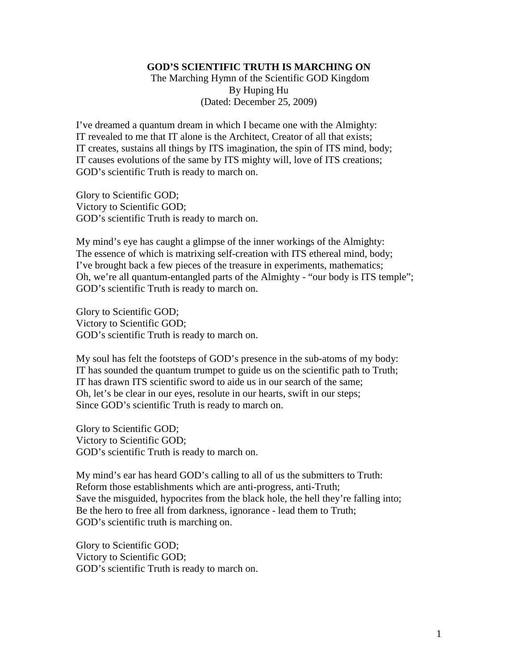## **GOD'S SCIENTIFIC TRUTH IS MARCHING ON**

 The Marching Hymn of the Scientific GOD Kingdom By Huping Hu (Dated: December 25, 2009)

I've dreamed a quantum dream in which I became one with the Almighty: IT revealed to me that IT alone is the Architect, Creator of all that exists; IT creates, sustains all things by ITS imagination, the spin of ITS mind, body; IT causes evolutions of the same by ITS mighty will, love of ITS creations; GOD's scientific Truth is ready to march on.

Glory to Scientific GOD; Victory to Scientific GOD; GOD's scientific Truth is ready to march on.

My mind's eye has caught a glimpse of the inner workings of the Almighty: The essence of which is matrixing self-creation with ITS ethereal mind, body; I've brought back a few pieces of the treasure in experiments, mathematics; Oh, we're all quantum-entangled parts of the Almighty - "our body is ITS temple"; GOD's scientific Truth is ready to march on.

Glory to Scientific GOD; Victory to Scientific GOD; GOD's scientific Truth is ready to march on.

My soul has felt the footsteps of GOD's presence in the sub-atoms of my body: IT has sounded the quantum trumpet to guide us on the scientific path to Truth; IT has drawn ITS scientific sword to aide us in our search of the same; Oh, let's be clear in our eyes, resolute in our hearts, swift in our steps; Since GOD's scientific Truth is ready to march on.

Glory to Scientific GOD; Victory to Scientific GOD; GOD's scientific Truth is ready to march on.

My mind's ear has heard GOD's calling to all of us the submitters to Truth: Reform those establishments which are anti-progress, anti-Truth; Save the misguided, hypocrites from the black hole, the hell they're falling into; Be the hero to free all from darkness, ignorance - lead them to Truth; GOD's scientific truth is marching on.

Glory to Scientific GOD; Victory to Scientific GOD; GOD's scientific Truth is ready to march on.